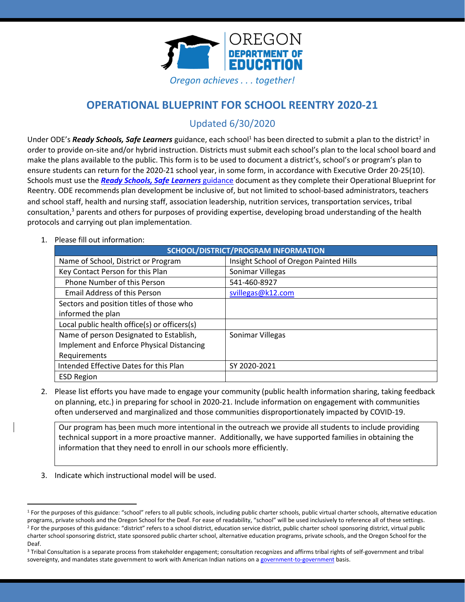

# **OPERATIONAL BLUEPRINT FOR SCHOOL REENTRY 2020-21**

## Updated 6/30/2020

Under ODE's *Ready Schools, Safe Learners* guidance, each school<sup>1</sup> has been directed to submit a plan to the district<sup>2</sup> in order to provide on-site and/or hybrid instruction. Districts must submit each school's plan to the local school board and make the plans available to the public. This form is to be used to document a district's, school's or program's plan to ensure students can return for the 2020-21 school year, in some form, in accordance with Executive Order 20-25(10). Schools must use the *[Ready Schools, Safe Learners](https://www.oregon.gov/ode/students-and-family/healthsafety/Documents/Ready%20Schools%20Safe%20Learners%202020-21%20Guidance.pdf)* guidance document as they complete their Operational Blueprint for Reentry. ODE recommends plan development be inclusive of, but not limited to school-based administrators, teachers and school staff, health and nursing staff, association leadership, nutrition services, transportation services, tribal consultation, <sup>3</sup> parents and others for purposes of providing expertise, developing broad understanding of the health protocols and carrying out plan implementation.

#### 1. Please fill out information:

| SCHOOL/DISTRICT/PROGRAM INFORMATION          |                                        |  |
|----------------------------------------------|----------------------------------------|--|
| Name of School, District or Program          | Insight School of Oregon Painted Hills |  |
| Key Contact Person for this Plan             | Sonimar Villegas                       |  |
| Phone Number of this Person                  | 541-460-8927                           |  |
| <b>Email Address of this Person</b>          | svillegas@k12.com                      |  |
| Sectors and position titles of those who     |                                        |  |
| informed the plan                            |                                        |  |
| Local public health office(s) or officers(s) |                                        |  |
| Name of person Designated to Establish,      | Sonimar Villegas                       |  |
| Implement and Enforce Physical Distancing    |                                        |  |
| Requirements                                 |                                        |  |
| Intended Effective Dates for this Plan       | SY 2020-2021                           |  |
| <b>ESD Region</b>                            |                                        |  |

2. Please list efforts you have made to engage your community (public health information sharing, taking feedback on planning, etc.) in preparing for school in 2020-21. Include information on engagement with communities often underserved and marginalized and those communities disproportionately impacted by COVID-19.

Our program has been much more intentional in the outreach we provide all students to include providing technical support in a more proactive manner. Additionally, we have supported families in obtaining the information that they need to enroll in our schools more efficiently.

3. Indicate which instructional model will be used.

<sup>&</sup>lt;sup>1</sup> For the purposes of this guidance: "school" refers to all public schools, including public charter schools, public virtual charter schools, alternative education programs, private schools and the Oregon School for the Deaf. For ease of readability, "school" will be used inclusively to reference all of these settings. <sup>2</sup> For the purposes of this guidance: "district" refers to a school district, education service district, public charter school sponsoring district, virtual public charter school sponsoring district, state sponsored public charter school, alternative education programs, private schools, and the Oregon School for the Deaf.

<sup>&</sup>lt;sup>3</sup> Tribal Consultation is a separate process from stakeholder engagement; consultation recognizes and affirms tribal rights of self-government and tribal sovereignty, and mandates state government to work with American Indian nations on [a government-to-government](http://www.nrc4tribes.org/files/Tab%209_9H%20Oregon%20SB770.pdf) basis.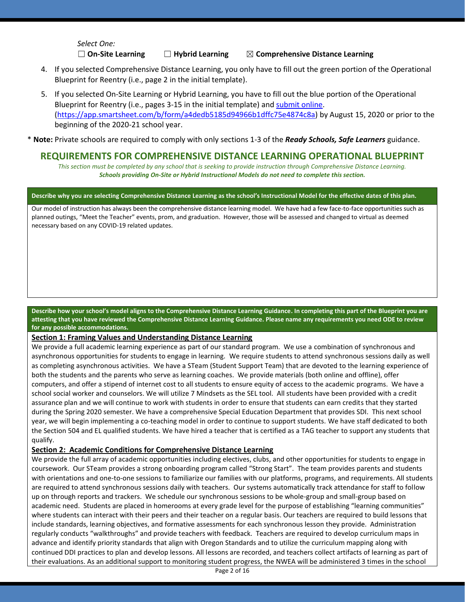*Select One:*

☐ **On-Site Learning** ☐ **Hybrid Learning** ☒ **Comprehensive Distance Learning**

- 4. If you selected Comprehensive Distance Learning, you only have to fill out the green portion of the Operational Blueprint for Reentry (i.e., page 2 in the initial template).
- 5. If you selected On-Site Learning or Hybrid Learning, you have to fill out the blue portion of the Operational Blueprint for Reentry (i.e., pages 3-15 in the initial template) an[d submit](https://app.smartsheet.com/b/form/a4dedb5185d94966b1dffc75e4874c8a) online. [\(https://app.smartsheet.com/b/form/a4dedb5185d94966b1dffc75e4874c8a\)](https://app.smartsheet.com/b/form/a4dedb5185d94966b1dffc75e4874c8a) by August 15, 2020 or prior to the beginning of the 2020-21 school year.

\* **Note:** Private schools are required to comply with only sections 1-3 of the *Ready Schools, Safe Learners* guidance.

### **REQUIREMENTS FOR COMPREHENSIVE DISTANCE LEARNING OPERATIONAL BLUEPRINT**

*This section must be completed by any school that is seeking to provide instruction through Comprehensive Distance Learning. Schools providing On-Site or Hybrid Instructional Models do not need to complete this section.*

#### **Describe why you are selecting Comprehensive Distance Learning as the school's Instructional Model for the effective dates of this plan.**

Our model of instruction has always been the comprehensive distance learning model. We have had a few face-to-face opportunities such as planned outings, "Meet the Teacher" events, prom, and graduation. However, those will be assessed and changed to virtual as deemed necessary based on any COVID-19 related updates.

**Describe how your school's model aligns to the Comprehensive Distance Learning Guidance. In completing this part of the Blueprint you are attesting that you have reviewed the Comprehensive Distance Learning Guidance. Please name any requirements you need ODE to review for any possible accommodations.** 

#### **Section 1: Framing Values and Understanding Distance Learning**

We provide a full academic learning experience as part of our standard program. We use a combination of synchronous and asynchronous opportunities for students to engage in learning. We require students to attend synchronous sessions daily as well as completing asynchronous activities. We have a STeam (Student Support Team) that are devoted to the learning experience of both the students and the parents who serve as learning coaches. We provide materials (both online and offline), offer computers, and offer a stipend of internet cost to all students to ensure equity of access to the academic programs. We have a school social worker and counselors. We will utilize 7 Mindsets as the SEL tool. All students have been provided with a credit assurance plan and we will continue to work with students in order to ensure that students can earn credits that they started during the Spring 2020 semester. We have a comprehensive Special Education Department that provides SDI. This next school year, we will begin implementing a co-teaching model in order to continue to support students. We have staff dedicated to both the Section 504 and EL qualified students. We have hired a teacher that is certified as a TAG teacher to support any students that qualify.

#### **Section 2: Academic Conditions for Comprehensive Distance Learning**

We provide the full array of academic opportunities including electives, clubs, and other opportunities for students to engage in coursework. Our STeam provides a strong onboarding program called "Strong Start". The team provides parents and students with orientations and one-to-one sessions to familiarize our families with our platforms, programs, and requirements. All students are required to attend synchronous sessions daily with teachers. Our systems automatically track attendance for staff to follow up on through reports and trackers. We schedule our synchronous sessions to be whole-group and small-group based on academic need. Students are placed in homerooms at every grade level for the purpose of establishing "learning communities" where students can interact with their peers and their teacher on a regular basis. Our teachers are required to build lessons that include standards, learning objectives, and formative assessments for each synchronous lesson they provide. Administration regularly conducts "walkthroughs" and provide teachers with feedback. Teachers are required to develop curriculum maps in advance and identify priority standards that align with Oregon Standards and to utilize the curriculum mapping along with continued DDI practices to plan and develop lessons. All lessons are recorded, and teachers collect artifacts of learning as part of their evaluations. As an additional support to monitoring student progress, the NWEA will be administered 3 times in the school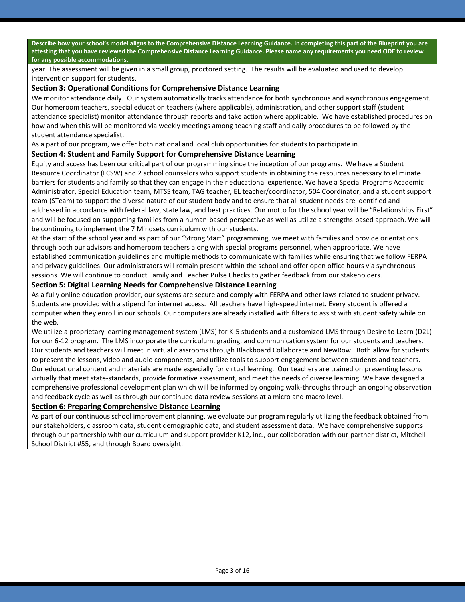**Describe how your school's model aligns to the Comprehensive Distance Learning Guidance. In completing this part of the Blueprint you are attesting that you have reviewed the Comprehensive Distance Learning Guidance. Please name any requirements you need ODE to review for any possible accommodations.** 

year. The assessment will be given in a small group, proctored setting. The results will be evaluated and used to develop intervention support for students.

#### **Section 3: Operational Conditions for Comprehensive Distance Learning**

We monitor attendance daily. Our system automatically tracks attendance for both synchronous and asynchronous engagement. Our homeroom teachers, special education teachers (where applicable), administration, and other support staff (student attendance specialist) monitor attendance through reports and take action where applicable. We have established procedures on how and when this will be monitored via weekly meetings among teaching staff and daily procedures to be followed by the student attendance specialist.

As a part of our program, we offer both national and local club opportunities for students to participate in.

#### **Section 4: Student and Family Support for Comprehensive Distance Learning**

Equity and access has been our critical part of our programming since the inception of our programs. We have a Student Resource Coordinator (LCSW) and 2 school counselors who support students in obtaining the resources necessary to eliminate barriers for students and family so that they can engage in their educational experience. We have a Special Programs Academic Administrator, Special Education team, MTSS team, TAG teacher, EL teacher/coordinator, 504 Coordinator, and a student support team (STeam) to support the diverse nature of our student body and to ensure that all student needs are identified and addressed in accordance with federal law, state law, and best practices. Our motto for the school year will be "Relationships First" and will be focused on supporting families from a human-based perspective as well as utilize a strengths-based approach. We will be continuing to implement the 7 Mindsets curriculum with our students.

At the start of the school year and as part of our "Strong Start" programming, we meet with families and provide orientations through both our advisors and homeroom teachers along with special programs personnel, when appropriate. We have established communication guidelines and multiple methods to communicate with families while ensuring that we follow FERPA and privacy guidelines. Our administrators will remain present within the school and offer open office hours via synchronous sessions. We will continue to conduct Family and Teacher Pulse Checks to gather feedback from our stakeholders.

#### **Section 5: Digital Learning Needs for Comprehensive Distance Learning**

As a fully online education provider, our systems are secure and comply with FERPA and other laws related to student privacy. Students are provided with a stipend for internet access. All teachers have high-speed internet. Every student is offered a computer when they enroll in our schools. Our computers are already installed with filters to assist with student safety while on the web.

We utilize a proprietary learning management system (LMS) for K-5 students and a customized LMS through Desire to Learn (D2L) for our 6-12 program. The LMS incorporate the curriculum, grading, and communication system for our students and teachers. Our students and teachers will meet in virtual classrooms through Blackboard Collaborate and NewRow. Both allow for students to present the lessons, video and audio components, and utilize tools to support engagement between students and teachers. Our educational content and materials are made especially for virtual learning. Our teachers are trained on presenting lessons virtually that meet state-standards, provide formative assessment, and meet the needs of diverse learning. We have designed a comprehensive professional development plan which will be informed by ongoing walk-throughs through an ongoing observation and feedback cycle as well as through our continued data review sessions at a micro and macro level.

#### **Section 6: Preparing Comprehensive Distance Learning**

As part of our continuous school improvement planning, we evaluate our program regularly utilizing the feedback obtained from our stakeholders, classroom data, student demographic data, and student assessment data. We have comprehensive supports through our partnership with our curriculum and support provider K12, inc., our collaboration with our partner district, Mitchell School District #55, and through Board oversight.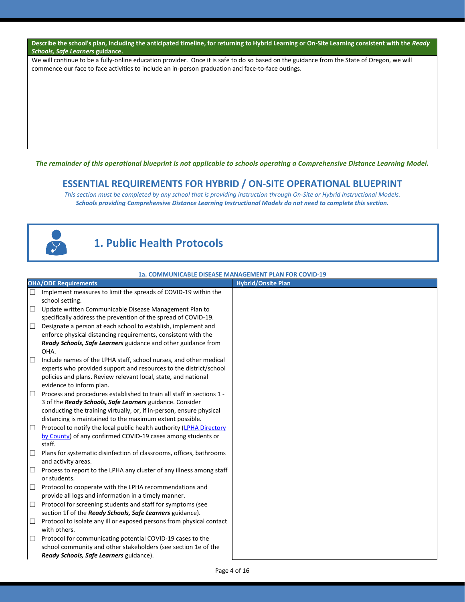#### **Describe the school's plan, including the anticipated timeline, for returning to Hybrid Learning or On-Site Learning consistent with the** *Ready Schools, Safe Learners* **guidance.**

We will continue to be a fully-online education provider. Once it is safe to do so based on the guidance from the State of Oregon, we will commence our face to face activities to include an in-person graduation and face-to-face outings.

*The remainder of this operational blueprint is not applicable to schools operating a Comprehensive Distance Learning Model.*

#### **ESSENTIAL REQUIREMENTS FOR HYBRID / ON-SITE OPERATIONAL BLUEPRINT**

*This section must be completed by any school that is providing instruction through On-Site or Hybrid Instructional Models. Schools providing Comprehensive Distance Learning Instructional Models do not need to complete this section.*



# **1. Public Health Protocols**

|        | 1a. COMMUNICABLE DISEASE MANAGEMENT PLAN FOR COVID-19                                |                           |  |  |
|--------|--------------------------------------------------------------------------------------|---------------------------|--|--|
|        | <b>OHA/ODE Requirements</b>                                                          | <b>Hybrid/Onsite Plan</b> |  |  |
| $\Box$ | Implement measures to limit the spreads of COVID-19 within the                       |                           |  |  |
|        | school setting.                                                                      |                           |  |  |
| $\Box$ | Update written Communicable Disease Management Plan to                               |                           |  |  |
|        | specifically address the prevention of the spread of COVID-19.                       |                           |  |  |
| $\Box$ | Designate a person at each school to establish, implement and                        |                           |  |  |
|        | enforce physical distancing requirements, consistent with the                        |                           |  |  |
|        | Ready Schools, Safe Learners guidance and other guidance from                        |                           |  |  |
|        | OHA.                                                                                 |                           |  |  |
| $\Box$ | Include names of the LPHA staff, school nurses, and other medical                    |                           |  |  |
|        | experts who provided support and resources to the district/school                    |                           |  |  |
|        | policies and plans. Review relevant local, state, and national                       |                           |  |  |
|        | evidence to inform plan.                                                             |                           |  |  |
| $\Box$ | Process and procedures established to train all staff in sections 1 -                |                           |  |  |
|        | 3 of the Ready Schools, Safe Learners guidance. Consider                             |                           |  |  |
|        | conducting the training virtually, or, if in-person, ensure physical                 |                           |  |  |
|        | distancing is maintained to the maximum extent possible.                             |                           |  |  |
| $\Box$ | Protocol to notify the local public health authority (LPHA Directory                 |                           |  |  |
|        | by County) of any confirmed COVID-19 cases among students or<br>staff.               |                           |  |  |
| $\Box$ | Plans for systematic disinfection of classrooms, offices, bathrooms                  |                           |  |  |
|        | and activity areas.                                                                  |                           |  |  |
| $\Box$ | Process to report to the LPHA any cluster of any illness among staff                 |                           |  |  |
|        | or students.                                                                         |                           |  |  |
| $\Box$ | Protocol to cooperate with the LPHA recommendations and                              |                           |  |  |
|        | provide all logs and information in a timely manner.                                 |                           |  |  |
| $\Box$ | Protocol for screening students and staff for symptoms (see                          |                           |  |  |
|        | section 1f of the Ready Schools, Safe Learners guidance).                            |                           |  |  |
| $\Box$ | Protocol to isolate any ill or exposed persons from physical contact<br>with others. |                           |  |  |
| $\Box$ | Protocol for communicating potential COVID-19 cases to the                           |                           |  |  |
|        | school community and other stakeholders (see section 1e of the                       |                           |  |  |
|        | Ready Schools, Safe Learners guidance).                                              |                           |  |  |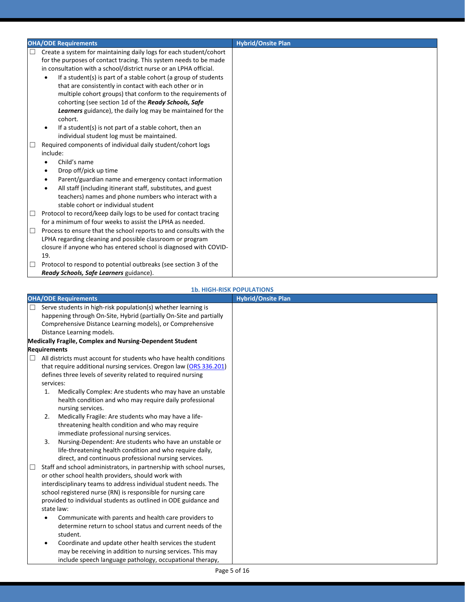|        | <b>OHA/ODE Requirements</b>                                         | <b>Hybrid/Onsite Plan</b> |
|--------|---------------------------------------------------------------------|---------------------------|
| $\Box$ | Create a system for maintaining daily logs for each student/cohort  |                           |
|        | for the purposes of contact tracing. This system needs to be made   |                           |
|        | in consultation with a school/district nurse or an LPHA official.   |                           |
|        | If a student(s) is part of a stable cohort (a group of students     |                           |
|        | that are consistently in contact with each other or in              |                           |
|        | multiple cohort groups) that conform to the requirements of         |                           |
|        | cohorting (see section 1d of the Ready Schools, Safe                |                           |
|        | <b>Learners</b> guidance), the daily log may be maintained for the  |                           |
|        | cohort.                                                             |                           |
|        | If a student(s) is not part of a stable cohort, then an             |                           |
|        | individual student log must be maintained.                          |                           |
|        | Required components of individual daily student/cohort logs         |                           |
|        | include:                                                            |                           |
|        | Child's name                                                        |                           |
|        | Drop off/pick up time<br>٠                                          |                           |
|        | Parent/guardian name and emergency contact information<br>$\bullet$ |                           |
|        | All staff (including itinerant staff, substitutes, and guest        |                           |
|        | teachers) names and phone numbers who interact with a               |                           |
|        | stable cohort or individual student                                 |                           |
| ⊔      | Protocol to record/keep daily logs to be used for contact tracing   |                           |
|        | for a minimum of four weeks to assist the LPHA as needed.           |                           |
| □      | Process to ensure that the school reports to and consults with the  |                           |
|        | LPHA regarding cleaning and possible classroom or program           |                           |
|        | closure if anyone who has entered school is diagnosed with COVID-   |                           |
|        | 19.                                                                 |                           |
| $\Box$ | Protocol to respond to potential outbreaks (see section 3 of the    |                           |
|        | Ready Schools, Safe Learners guidance).                             |                           |

#### **1b. HIGH-RISK POPULATIONS**

|        |                     | <b>OHA/ODE Requirements</b>                                                                                       | <b>Hybrid/Onsite Plan</b> |
|--------|---------------------|-------------------------------------------------------------------------------------------------------------------|---------------------------|
|        |                     | Serve students in high-risk population(s) whether learning is                                                     |                           |
|        |                     | happening through On-Site, Hybrid (partially On-Site and partially                                                |                           |
|        |                     | Comprehensive Distance Learning models), or Comprehensive                                                         |                           |
|        |                     | Distance Learning models.                                                                                         |                           |
|        |                     | <b>Medically Fragile, Complex and Nursing-Dependent Student</b>                                                   |                           |
|        | <b>Requirements</b> |                                                                                                                   |                           |
| $\Box$ |                     | All districts must account for students who have health conditions                                                |                           |
|        |                     | that require additional nursing services. Oregon law (ORS 336.201)                                                |                           |
|        |                     | defines three levels of severity related to required nursing                                                      |                           |
|        | services:           |                                                                                                                   |                           |
|        | 1.                  | Medically Complex: Are students who may have an unstable                                                          |                           |
|        |                     | health condition and who may require daily professional                                                           |                           |
|        |                     | nursing services.                                                                                                 |                           |
|        | 2.                  | Medically Fragile: Are students who may have a life-                                                              |                           |
|        |                     | threatening health condition and who may require                                                                  |                           |
|        | 3.                  | immediate professional nursing services.                                                                          |                           |
|        |                     | Nursing-Dependent: Are students who have an unstable or                                                           |                           |
|        |                     | life-threatening health condition and who require daily,<br>direct, and continuous professional nursing services. |                           |
|        |                     | Staff and school administrators, in partnership with school nurses,                                               |                           |
|        |                     | or other school health providers, should work with                                                                |                           |
|        |                     | interdisciplinary teams to address individual student needs. The                                                  |                           |
|        |                     | school registered nurse (RN) is responsible for nursing care                                                      |                           |
|        |                     | provided to individual students as outlined in ODE guidance and                                                   |                           |
|        |                     | state law:                                                                                                        |                           |
|        | $\bullet$           | Communicate with parents and health care providers to                                                             |                           |
|        |                     | determine return to school status and current needs of the                                                        |                           |
|        |                     | student.                                                                                                          |                           |
|        | $\bullet$           | Coordinate and update other health services the student                                                           |                           |
|        |                     | may be receiving in addition to nursing services. This may                                                        |                           |
|        |                     | include speech language pathology, occupational therapy,                                                          |                           |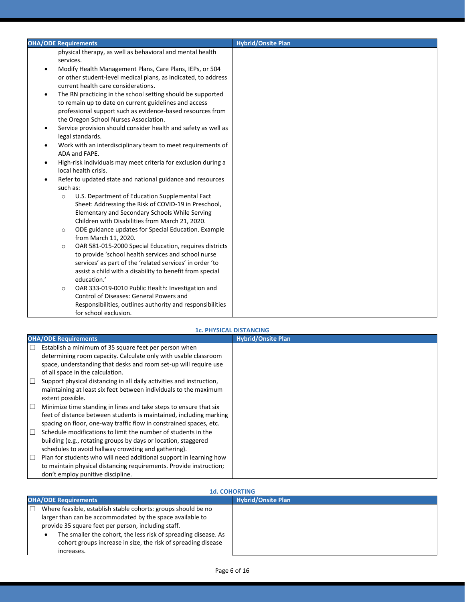#### **1c. PHYSICAL DISTANCING**

|        | <b>OHA/ODE Requirements</b>                                          | <b>Hybrid/Onsite Plan</b> |
|--------|----------------------------------------------------------------------|---------------------------|
| $\Box$ | Establish a minimum of 35 square feet per person when                |                           |
|        | determining room capacity. Calculate only with usable classroom      |                           |
|        | space, understanding that desks and room set-up will require use     |                           |
|        | of all space in the calculation.                                     |                           |
| $\Box$ | Support physical distancing in all daily activities and instruction, |                           |
|        | maintaining at least six feet between individuals to the maximum     |                           |
|        | extent possible.                                                     |                           |
| $\Box$ | Minimize time standing in lines and take steps to ensure that six    |                           |
|        | feet of distance between students is maintained, including marking   |                           |
|        | spacing on floor, one-way traffic flow in constrained spaces, etc.   |                           |
| П      | Schedule modifications to limit the number of students in the        |                           |
|        | building (e.g., rotating groups by days or location, staggered       |                           |
|        | schedules to avoid hallway crowding and gathering).                  |                           |
| □      | Plan for students who will need additional support in learning how   |                           |
|        | to maintain physical distancing requirements. Provide instruction;   |                           |
|        | don't employ punitive discipline.                                    |                           |

### **1d. COHORTING**

| <b>OHA/ODE Requirements</b>                                                                                                                   | <b>Hybrid/Onsite Plan</b> |  |
|-----------------------------------------------------------------------------------------------------------------------------------------------|---------------------------|--|
| Where feasible, establish stable cohorts: groups should be no                                                                                 |                           |  |
| larger than can be accommodated by the space available to                                                                                     |                           |  |
| provide 35 square feet per person, including staff.                                                                                           |                           |  |
| The smaller the cohort, the less risk of spreading disease. As<br>cohort groups increase in size, the risk of spreading disease<br>increases. |                           |  |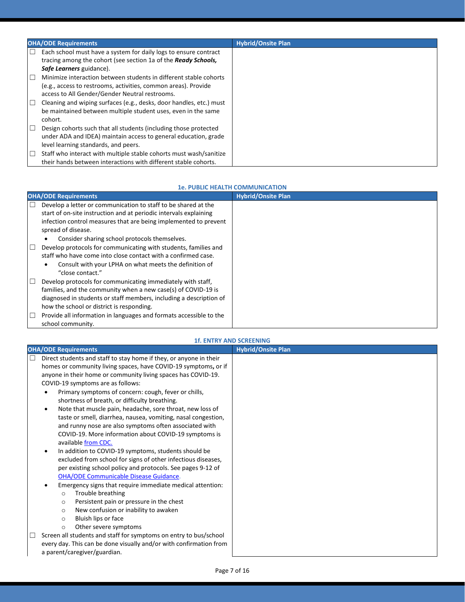|        | <b>OHA/ODE Requirements</b>                                                                                                                                                           | <b>Hybrid/Onsite Plan</b> |
|--------|---------------------------------------------------------------------------------------------------------------------------------------------------------------------------------------|---------------------------|
| П      | Each school must have a system for daily logs to ensure contract<br>tracing among the cohort (see section 1a of the <b>Ready Schools</b> ,<br>Safe Learners guidance).                |                           |
| $\Box$ | Minimize interaction between students in different stable cohorts<br>(e.g., access to restrooms, activities, common areas). Provide<br>access to All Gender/Gender Neutral restrooms. |                           |
| $\Box$ | Cleaning and wiping surfaces (e.g., desks, door handles, etc.) must<br>be maintained between multiple student uses, even in the same<br>cohort.                                       |                           |
| $\Box$ | Design cohorts such that all students (including those protected<br>under ADA and IDEA) maintain access to general education, grade<br>level learning standards, and peers.           |                           |
| $\Box$ | Staff who interact with multiple stable cohorts must wash/sanitize<br>their hands between interactions with different stable cohorts.                                                 |                           |

#### **1e. PUBLIC HEALTH COMMUNICATION**

|        | <b>OHA/ODE Requirements</b>                                                                                                                                                                                                                                                    | <b>Hybrid/Onsite Plan</b> |  |
|--------|--------------------------------------------------------------------------------------------------------------------------------------------------------------------------------------------------------------------------------------------------------------------------------|---------------------------|--|
| □      | Develop a letter or communication to staff to be shared at the<br>start of on-site instruction and at periodic intervals explaining<br>infection control measures that are being implemented to prevent<br>spread of disease.<br>Consider sharing school protocols themselves. |                           |  |
| $\Box$ | Develop protocols for communicating with students, families and<br>staff who have come into close contact with a confirmed case.<br>Consult with your LPHA on what meets the definition of<br>"close contact."                                                                 |                           |  |
| L      | Develop protocols for communicating immediately with staff,<br>families, and the community when a new case(s) of COVID-19 is<br>diagnosed in students or staff members, including a description of<br>how the school or district is responding.                                |                           |  |
| L      | Provide all information in languages and formats accessible to the<br>school community.                                                                                                                                                                                        |                           |  |

#### **1f. ENTRY AND SCREENING**

| <b>OHA/ODE Requirements</b>                                                  | <b>Hybrid/Onsite Plan</b> |
|------------------------------------------------------------------------------|---------------------------|
| Direct students and staff to stay home if they, or anyone in their<br>$\Box$ |                           |
| homes or community living spaces, have COVID-19 symptoms, or if              |                           |
| anyone in their home or community living spaces has COVID-19.                |                           |
| COVID-19 symptoms are as follows:                                            |                           |
| Primary symptoms of concern: cough, fever or chills,<br>$\bullet$            |                           |
| shortness of breath, or difficulty breathing.                                |                           |
| Note that muscle pain, headache, sore throat, new loss of<br>$\bullet$       |                           |
| taste or smell, diarrhea, nausea, vomiting, nasal congestion,                |                           |
| and runny nose are also symptoms often associated with                       |                           |
| COVID-19. More information about COVID-19 symptoms is                        |                           |
| available from CDC.                                                          |                           |
| In addition to COVID-19 symptoms, students should be<br>$\bullet$            |                           |
| excluded from school for signs of other infectious diseases,                 |                           |
| per existing school policy and protocols. See pages 9-12 of                  |                           |
| <b>OHA/ODE Communicable Disease Guidance.</b>                                |                           |
| Emergency signs that require immediate medical attention:<br>$\bullet$       |                           |
| Trouble breathing<br>$\circ$                                                 |                           |
| Persistent pain or pressure in the chest<br>$\circ$                          |                           |
| New confusion or inability to awaken<br>$\circ$                              |                           |
| Bluish lips or face<br>$\Omega$                                              |                           |
| Other severe symptoms<br>$\circ$                                             |                           |
| Screen all students and staff for symptoms on entry to bus/school            |                           |
| every day. This can be done visually and/or with confirmation from           |                           |
| a parent/caregiver/guardian.                                                 |                           |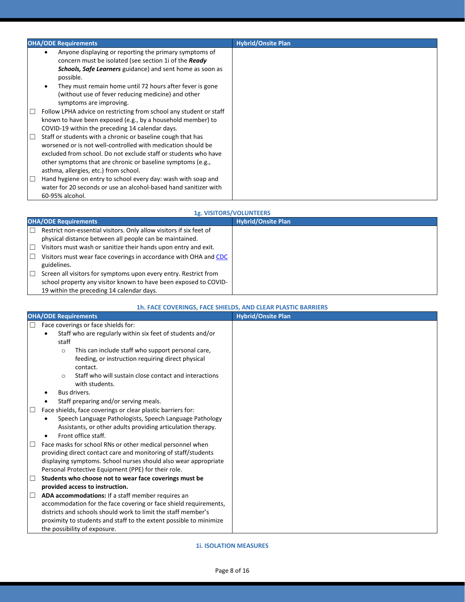|        | <b>OHA/ODE Requirements</b>                                                                                                                                                                                                                                                                                                                        | <b>Hybrid/Onsite Plan</b> |
|--------|----------------------------------------------------------------------------------------------------------------------------------------------------------------------------------------------------------------------------------------------------------------------------------------------------------------------------------------------------|---------------------------|
|        | Anyone displaying or reporting the primary symptoms of<br>٠<br>concern must be isolated (see section 1i of the Ready<br><b>Schools, Safe Learners</b> guidance) and sent home as soon as<br>possible.<br>They must remain home until 72 hours after fever is gone<br>(without use of fever reducing medicine) and other<br>symptoms are improving. |                           |
| ш      | Follow LPHA advice on restricting from school any student or staff<br>known to have been exposed (e.g., by a household member) to<br>COVID-19 within the preceding 14 calendar days.                                                                                                                                                               |                           |
| $\Box$ | Staff or students with a chronic or baseline cough that has<br>worsened or is not well-controlled with medication should be<br>excluded from school. Do not exclude staff or students who have<br>other symptoms that are chronic or baseline symptoms (e.g.,<br>asthma, allergies, etc.) from school.                                             |                           |
| $\Box$ | Hand hygiene on entry to school every day: wash with soap and<br>water for 20 seconds or use an alcohol-based hand sanitizer with<br>60-95% alcohol.                                                                                                                                                                                               |                           |

#### **1g. VISITORS/VOLUNTEERS**

|   | <b>OHA/ODE Requirements</b>                                         | <b>Hybrid/Onsite Plan</b> |
|---|---------------------------------------------------------------------|---------------------------|
| □ | Restrict non-essential visitors. Only allow visitors if six feet of |                           |
|   | physical distance between all people can be maintained.             |                           |
| □ | Visitors must wash or sanitize their hands upon entry and exit.     |                           |
|   | Visitors must wear face coverings in accordance with OHA and CDC    |                           |
|   | guidelines.                                                         |                           |
| □ | Screen all visitors for symptoms upon every entry. Restrict from    |                           |
|   | school property any visitor known to have been exposed to COVID-    |                           |
|   | 19 within the preceding 14 calendar days.                           |                           |

#### **1h. FACE COVERINGS, FACE SHIELDS, AND CLEAR PLASTIC BARRIERS**

|        | <b>OHA/ODE Requirements</b>                                             | <b>Hybrid/Onsite Plan</b> |
|--------|-------------------------------------------------------------------------|---------------------------|
| □      | Face coverings or face shields for:                                     |                           |
|        | Staff who are regularly within six feet of students and/or<br>$\bullet$ |                           |
|        | staff                                                                   |                           |
|        | This can include staff who support personal care,<br>$\circ$            |                           |
|        | feeding, or instruction requiring direct physical                       |                           |
|        | contact.                                                                |                           |
|        | Staff who will sustain close contact and interactions<br>$\Omega$       |                           |
|        | with students.                                                          |                           |
|        | Bus drivers.                                                            |                           |
|        | Staff preparing and/or serving meals.                                   |                           |
| $\Box$ | Face shields, face coverings or clear plastic barriers for:             |                           |
|        | Speech Language Pathologists, Speech Language Pathology<br>٠            |                           |
|        | Assistants, or other adults providing articulation therapy.             |                           |
|        | Front office staff.<br>٠                                                |                           |
|        | Face masks for school RNs or other medical personnel when               |                           |
|        | providing direct contact care and monitoring of staff/students          |                           |
|        | displaying symptoms. School nurses should also wear appropriate         |                           |
|        | Personal Protective Equipment (PPE) for their role.                     |                           |
| $\Box$ | Students who choose not to wear face coverings must be                  |                           |
|        | provided access to instruction.                                         |                           |
| □      | ADA accommodations: If a staff member requires an                       |                           |
|        | accommodation for the face covering or face shield requirements,        |                           |
|        | districts and schools should work to limit the staff member's           |                           |
|        | proximity to students and staff to the extent possible to minimize      |                           |
|        | the possibility of exposure.                                            |                           |

**1i. ISOLATION MEASURES**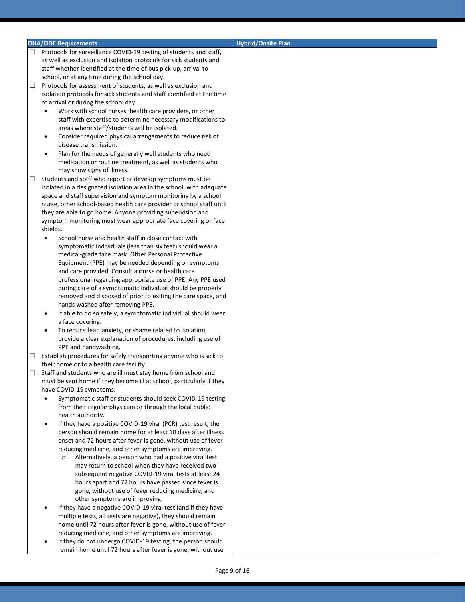#### **OHA/ODE Requirements CONSIDERATION CONSIDERING THE CONSIDERATION CONSIDERING THE CONSIDERATION CONSIDERING THE CONSIDERATION CONSIDERING THE CONSIDERATION CONSIDERING THE CONSIDERATION CONSIDERATION CONSIDERATION CONSID**

- Protocols for surveillance COVID-19 testing of students and staff, as well as exclusion and isolation protocols for sick students and staff whether identified at the time of bus pick-up, arrival to school, or at any time during the school day.
- $\Box$  Protocols for assessment of students, as well as exclusion and isolation protocols for sick students and staff identified at the time of arrival or during the school day.
	- Work with school nurses, health care providers, or other staff with expertise to determine necessary modifications to areas where staff/students will be isolated.
	- Consider required physical arrangements to reduce risk of disease transmission.
	- Plan for the needs of generally well students who need medication or routine treatment, as well as students who may show signs of illness.
- $\Box$  Students and staff who report or develop symptoms must be isolated in a designated isolation area in the school, with adequate space and staff supervision and symptom monitoring by a school nurse, other school-based health care provider or school staff until they are able to go home. Anyone providing supervision and symptom monitoring must wear appropriate face covering or face shields.
	- School nurse and health staff in close contact with symptomatic individuals (less than six feet) should wear a medical-grade face mask. Other Personal Protective Equipment (PPE) may be needed depending on symptoms and care provided. Consult a nurse or health care professional regarding appropriate use of PPE. Any PPE used during care of a symptomatic individual should be properly removed and disposed of prior to exiting the care space, and hands washed after removing PPE.
	- If able to do so safely, a symptomatic individual should wear a face covering.
	- To reduce fear, anxiety, or shame related to isolation, provide a clear explanation of procedures, including use of PPE and handwashing.
- $\Box$  Establish procedures for safely transporting anyone who is sick to their home or to a health care facility.
- □ Staff and students who are ill must stay home from school and must be sent home if they become ill at school, particularly if they have COVID-19 symptoms.
	- Symptomatic staff or students should seek COVID-19 testing from their regular physician or through the local public health authority.
	- If they have a positive COVID-19 viral (PCR) test result, the person should remain home for at least 10 days after illness onset and 72 hours after fever is gone, without use of fever reducing medicine, and other symptoms are improving.
		- Alternatively, a person who had a positive viral test may return to school when they have received two subsequent negative COVID-19 viral tests at least 24 hours apart and 72 hours have passed since fever is gone, without use of fever reducing medicine, and other symptoms are improving.
	- If they have a negative COVID-19 viral test (and if they have multiple tests, all tests are negative), they should remain home until 72 hours after fever is gone, without use of fever reducing medicine, and other symptoms are improving.
	- If they do not undergo COVID-19 testing, the person should remain home until 72 hours after fever is gone, without use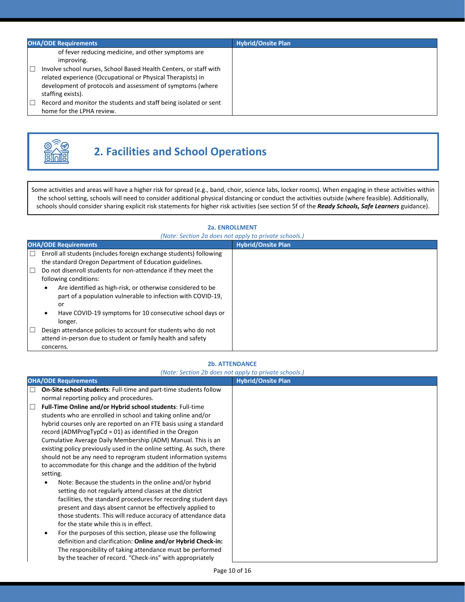| <b>OHA/ODE Requirements</b>                                                                                                                                                                                                                                                                                                                                                           | <b>Hybrid/Onsite Plan</b> |
|---------------------------------------------------------------------------------------------------------------------------------------------------------------------------------------------------------------------------------------------------------------------------------------------------------------------------------------------------------------------------------------|---------------------------|
| of fever reducing medicine, and other symptoms are<br>improving.<br>Involve school nurses, School Based Health Centers, or staff with<br>$\Box$<br>related experience (Occupational or Physical Therapists) in<br>development of protocols and assessment of symptoms (where<br>staffing exists).<br>Record and monitor the students and staff being isolated or sent<br>$\mathbb{L}$ |                           |
| home for the LPHA review.                                                                                                                                                                                                                                                                                                                                                             |                           |



# **2. Facilities and School Operations**

Some activities and areas will have a higher risk for spread (e.g., band, choir, science labs, locker rooms). When engaging in these activities within the school setting, schools will need to consider additional physical distancing or conduct the activities outside (where feasible). Additionally, schools should consider sharing explicit risk statements for higher risk activities (see section 5f of the *Ready Schools, Safe Learners* guidance).

#### **2a. ENROLLMENT**

| (Note: Section 2a does not apply to private schools.)                                                                                                                                                                             |                           |  |
|-----------------------------------------------------------------------------------------------------------------------------------------------------------------------------------------------------------------------------------|---------------------------|--|
| <b>OHA/ODE Requirements</b>                                                                                                                                                                                                       | <b>Hybrid/Onsite Plan</b> |  |
| Enroll all students (includes foreign exchange students) following<br>the standard Oregon Department of Education guidelines.<br>$\Box$<br>Do not disenroll students for non-attendance if they meet the<br>following conditions: |                           |  |
| Are identified as high-risk, or otherwise considered to be<br>$\bullet$<br>part of a population vulnerable to infection with COVID-19,<br>or<br>Have COVID-19 symptoms for 10 consecutive school days or<br>longer.               |                           |  |
| Design attendance policies to account for students who do not<br>attend in-person due to student or family health and safety<br>concerns.                                                                                         |                           |  |

#### **2b. ATTENDANCE**

#### *(Note: Section 2b does not apply to private schools.)*

|        | <b>OHA/ODE Requirements</b>                                           | $\mu$ , and the second $\mu$ and $\mu$ and $\mu$ apply to private sensors;<br><b>Hybrid/Onsite Plan</b> |
|--------|-----------------------------------------------------------------------|---------------------------------------------------------------------------------------------------------|
| П      | On-Site school students: Full-time and part-time students follow      |                                                                                                         |
|        | normal reporting policy and procedures.                               |                                                                                                         |
| $\Box$ | Full-Time Online and/or Hybrid school students: Full-time             |                                                                                                         |
|        | students who are enrolled in school and taking online and/or          |                                                                                                         |
|        | hybrid courses only are reported on an FTE basis using a standard     |                                                                                                         |
|        | record (ADMProgTypCd = $01$ ) as identified in the Oregon             |                                                                                                         |
|        | Cumulative Average Daily Membership (ADM) Manual. This is an          |                                                                                                         |
|        | existing policy previously used in the online setting. As such, there |                                                                                                         |
|        | should not be any need to reprogram student information systems       |                                                                                                         |
|        | to accommodate for this change and the addition of the hybrid         |                                                                                                         |
|        | setting.                                                              |                                                                                                         |
|        | Note: Because the students in the online and/or hybrid                |                                                                                                         |
|        | setting do not regularly attend classes at the district               |                                                                                                         |
|        | facilities, the standard procedures for recording student days        |                                                                                                         |
|        | present and days absent cannot be effectively applied to              |                                                                                                         |
|        | those students. This will reduce accuracy of attendance data          |                                                                                                         |
|        | for the state while this is in effect.                                |                                                                                                         |
|        | For the purposes of this section, please use the following            |                                                                                                         |
|        | definition and clarification: Online and/or Hybrid Check-in:          |                                                                                                         |
|        | The responsibility of taking attendance must be performed             |                                                                                                         |
|        | by the teacher of record. "Check-ins" with appropriately              |                                                                                                         |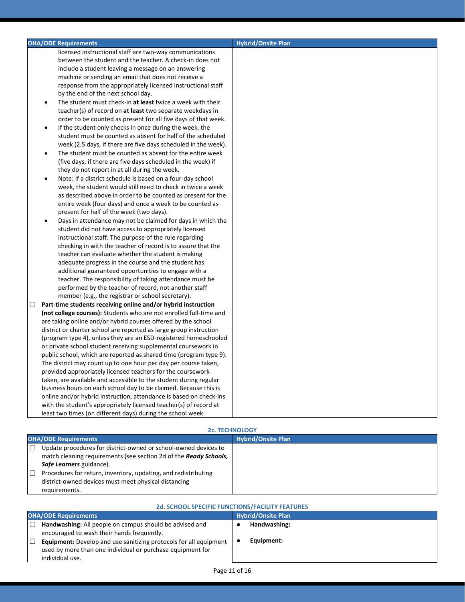| <b>OHA/ODE Requirements</b>                                        | <b>Hybrid/Onsite Plan</b> |
|--------------------------------------------------------------------|---------------------------|
| licensed instructional staff are two-way communications            |                           |
| between the student and the teacher. A check-in does not           |                           |
| include a student leaving a message on an answering                |                           |
| machine or sending an email that does not receive a                |                           |
| response from the appropriately licensed instructional staff       |                           |
| by the end of the next school day.                                 |                           |
| The student must check-in at least twice a week with their         |                           |
| teacher(s) of record on at least two separate weekdays in          |                           |
| order to be counted as present for all five days of that week.     |                           |
| If the student only checks in once during the week, the            |                           |
| student must be counted as absent for half of the scheduled        |                           |
| week (2.5 days, if there are five days scheduled in the week).     |                           |
| The student must be counted as absent for the entire week          |                           |
| (five days, if there are five days scheduled in the week) if       |                           |
| they do not report in at all during the week.                      |                           |
| Note: If a district schedule is based on a four-day school         |                           |
| week, the student would still need to check in twice a week        |                           |
| as described above in order to be counted as present for the       |                           |
| entire week (four days) and once a week to be counted as           |                           |
| present for half of the week (two days).                           |                           |
| Days in attendance may not be claimed for days in which the        |                           |
| student did not have access to appropriately licensed              |                           |
| instructional staff. The purpose of the rule regarding             |                           |
| checking in with the teacher of record is to assure that the       |                           |
| teacher can evaluate whether the student is making                 |                           |
| adequate progress in the course and the student has                |                           |
| additional guaranteed opportunities to engage with a               |                           |
| teacher. The responsibility of taking attendance must be           |                           |
| performed by the teacher of record, not another staff              |                           |
| member (e.g., the registrar or school secretary).                  |                           |
| Part-time students receiving online and/or hybrid instruction<br>□ |                           |
| (not college courses): Students who are not enrolled full-time and |                           |
| are taking online and/or hybrid courses offered by the school      |                           |
| district or charter school are reported as large group instruction |                           |
| (program type 4), unless they are an ESD-registered homeschooled   |                           |
| or private school student receiving supplemental coursework in     |                           |
| public school, which are reported as shared time (program type 9). |                           |
| The district may count up to one hour per day per course taken,    |                           |
| provided appropriately licensed teachers for the coursework        |                           |
| taken, are available and accessible to the student during regular  |                           |
| business hours on each school day to be claimed. Because this is   |                           |
| online and/or hybrid instruction, attendance is based on check-ins |                           |
| with the student's appropriately licensed teacher(s) of record at  |                           |
| least two times (on different days) during the school week.        |                           |

| <b>2c. TECHNOLOGY</b>                                                                                                                                            |                           |  |
|------------------------------------------------------------------------------------------------------------------------------------------------------------------|---------------------------|--|
| <b>OHA/ODE Requirements</b>                                                                                                                                      | <b>Hybrid/Onsite Plan</b> |  |
| Update procedures for district-owned or school-owned devices to<br>match cleaning requirements (see section 2d of the Ready Schools,<br>Safe Learners guidance). |                           |  |
| Procedures for return, inventory, updating, and redistributing<br>district-owned devices must meet physical distancing<br>requirements.                          |                           |  |

| <b>2d. SCHOOL SPECIFIC FUNCTIONS/FACILITY FEATURES</b>                                                                                                    |                           |  |
|-----------------------------------------------------------------------------------------------------------------------------------------------------------|---------------------------|--|
| <b>OHA/ODE Requirements</b>                                                                                                                               | <b>Hybrid/Onsite Plan</b> |  |
| Handwashing: All people on campus should be advised and<br>encouraged to wash their hands frequently.                                                     | Handwashing:              |  |
| <b>Equipment:</b> Develop and use sanitizing protocols for all equipment<br>used by more than one individual or purchase equipment for<br>individual use. | Equipment:                |  |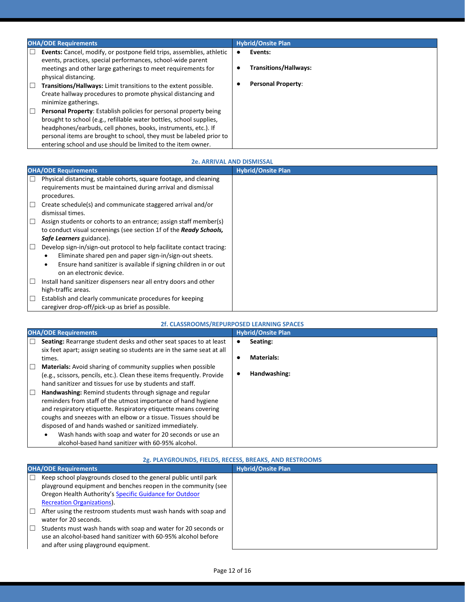| <b>OHA/ODE Requirements</b>                                                                                                                                                                                                                                                                                                                                 | <b>Hybrid/Onsite Plan</b>    |  |
|-------------------------------------------------------------------------------------------------------------------------------------------------------------------------------------------------------------------------------------------------------------------------------------------------------------------------------------------------------------|------------------------------|--|
| Г<br><b>Events:</b> Cancel, modify, or postpone field trips, assemblies, athletic<br>events, practices, special performances, school-wide parent                                                                                                                                                                                                            | Events:                      |  |
| meetings and other large gatherings to meet requirements for<br>physical distancing.                                                                                                                                                                                                                                                                        | <b>Transitions/Hallways:</b> |  |
| Transitions/Hallways: Limit transitions to the extent possible.<br>$\mathbb{L}$<br>Create hallway procedures to promote physical distancing and<br>minimize gatherings.                                                                                                                                                                                     | <b>Personal Property:</b>    |  |
| $\Box$<br>Personal Property: Establish policies for personal property being<br>brought to school (e.g., refillable water bottles, school supplies,<br>headphones/earbuds, cell phones, books, instruments, etc.). If<br>personal items are brought to school, they must be labeled prior to<br>entering school and use should be limited to the item owner. |                              |  |

#### **2e. ARRIVAL AND DISMISSAL**

|        | <b>OHA/ODE Requirements</b>                                                                                                                                                                                                                   | <b>Hybrid/Onsite Plan</b> |
|--------|-----------------------------------------------------------------------------------------------------------------------------------------------------------------------------------------------------------------------------------------------|---------------------------|
| П      | Physical distancing, stable cohorts, square footage, and cleaning<br>requirements must be maintained during arrival and dismissal<br>procedures.                                                                                              |                           |
| $\Box$ | Create schedule(s) and communicate staggered arrival and/or<br>dismissal times.                                                                                                                                                               |                           |
| $\Box$ | Assign students or cohorts to an entrance; assign staff member(s)<br>to conduct visual screenings (see section 1f of the Ready Schools,<br>Safe Learners guidance).                                                                           |                           |
| □      | Develop sign-in/sign-out protocol to help facilitate contact tracing:<br>Eliminate shared pen and paper sign-in/sign-out sheets.<br>Ensure hand sanitizer is available if signing children in or out<br>$\bullet$<br>on an electronic device. |                           |
| $\Box$ | Install hand sanitizer dispensers near all entry doors and other<br>high-traffic areas.                                                                                                                                                       |                           |
| ⊔      | Establish and clearly communicate procedures for keeping<br>caregiver drop-off/pick-up as brief as possible.                                                                                                                                  |                           |

#### **2f. CLASSROOMS/REPURPOSED LEARNING SPACES**

| <b>OHA/ODE Requirements</b> |                                                                        | <b>Hybrid/Onsite Plan</b> |                   |  |
|-----------------------------|------------------------------------------------------------------------|---------------------------|-------------------|--|
|                             | Seating: Rearrange student desks and other seat spaces to at least     |                           | Seating:          |  |
|                             | six feet apart; assign seating so students are in the same seat at all |                           |                   |  |
|                             | times.                                                                 | ٠                         | <b>Materials:</b> |  |
| ш                           | <b>Materials:</b> Avoid sharing of community supplies when possible    |                           |                   |  |
|                             | (e.g., scissors, pencils, etc.). Clean these items frequently. Provide |                           | Handwashing:      |  |
|                             | hand sanitizer and tissues for use by students and staff.              |                           |                   |  |
| $\Box$                      | Handwashing: Remind students through signage and regular               |                           |                   |  |
|                             | reminders from staff of the utmost importance of hand hygiene          |                           |                   |  |
|                             | and respiratory etiquette. Respiratory etiquette means covering        |                           |                   |  |
|                             | coughs and sneezes with an elbow or a tissue. Tissues should be        |                           |                   |  |
|                             | disposed of and hands washed or sanitized immediately.                 |                           |                   |  |
|                             | Wash hands with soap and water for 20 seconds or use an<br>٠           |                           |                   |  |
|                             | alcohol-based hand sanitizer with 60-95% alcohol.                      |                           |                   |  |

#### **2g. PLAYGROUNDS, FIELDS, RECESS, BREAKS, AND RESTROOMS**

| <b>OHA/ODE Requirements</b> |                                                                 | <b>Hybrid/Onsite Plan</b> |
|-----------------------------|-----------------------------------------------------------------|---------------------------|
|                             | Keep school playgrounds closed to the general public until park |                           |
|                             | playground equipment and benches reopen in the community (see   |                           |
|                             | Oregon Health Authority's Specific Guidance for Outdoor         |                           |
|                             | <b>Recreation Organizations).</b>                               |                           |
| $\Box$                      | After using the restroom students must wash hands with soap and |                           |
|                             | water for 20 seconds.                                           |                           |
| ш                           | Students must wash hands with soap and water for 20 seconds or  |                           |
|                             | use an alcohol-based hand sanitizer with 60-95% alcohol before  |                           |
|                             | and after using playground equipment.                           |                           |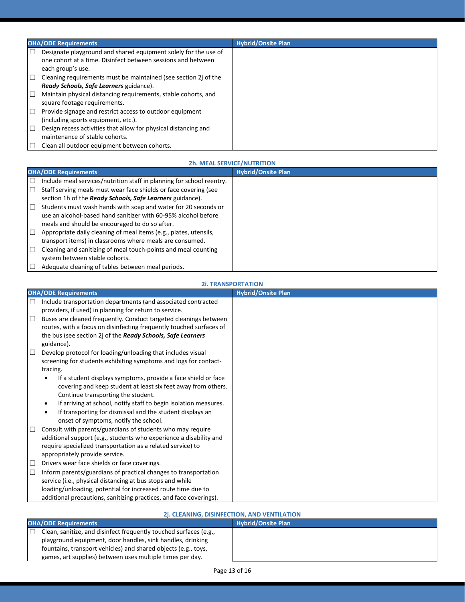| <b>OHA/ODE Requirements</b>                                                                                                               | <b>Hybrid/Onsite Plan</b> |
|-------------------------------------------------------------------------------------------------------------------------------------------|---------------------------|
| Designate playground and shared equipment solely for the use of<br>one cohort at a time. Disinfect between sessions and between           |                           |
| each group's use.<br>$\Box$<br>Cleaning requirements must be maintained (see section 2) of the<br>Ready Schools, Safe Learners guidance). |                           |
| $\Box$<br>Maintain physical distancing requirements, stable cohorts, and<br>square footage requirements.                                  |                           |
| Provide signage and restrict access to outdoor equipment<br>(including sports equipment, etc.).                                           |                           |
| Design recess activities that allow for physical distancing and<br>maintenance of stable cohorts.                                         |                           |
| Clean all outdoor equipment between cohorts.                                                                                              |                           |

#### **2h. MEAL SERVICE/NUTRITION OHA/ODE Requirements** ☐ Include meal services/nutrition staff in planning for school reentry. □ Staff serving meals must wear face shields or face covering (see section 1h of the *Ready Schools, Safe Learners* guidance).  $\Box$  Students must wash hands with soap and water for 20 seconds or use an alcohol-based hand sanitizer with 60-95% alcohol before meals and should be encouraged to do so after.  $\Box$  Appropriate daily cleaning of meal items (e.g., plates, utensils, transport items) in classrooms where meals are consumed. ☐ Cleaning and sanitizing of meal touch-points and meal counting

system between stable cohorts.

 $\Box$  Adequate cleaning of tables between meal periods.

#### **2i. TRANSPORTATION**

|        | <b>OHA/ODE Requirements</b>                                                   | <b>Hybrid/Onsite Plan</b> |
|--------|-------------------------------------------------------------------------------|---------------------------|
| Ш      | Include transportation departments (and associated contracted                 |                           |
|        | providers, if used) in planning for return to service.                        |                           |
| $\Box$ | Buses are cleaned frequently. Conduct targeted cleanings between              |                           |
|        | routes, with a focus on disinfecting frequently touched surfaces of           |                           |
|        | the bus (see section 2j of the Ready Schools, Safe Learners                   |                           |
|        | guidance).                                                                    |                           |
| $\Box$ | Develop protocol for loading/unloading that includes visual                   |                           |
|        | screening for students exhibiting symptoms and logs for contact-              |                           |
|        | tracing.                                                                      |                           |
|        | If a student displays symptoms, provide a face shield or face                 |                           |
|        | covering and keep student at least six feet away from others.                 |                           |
|        | Continue transporting the student.                                            |                           |
|        | If arriving at school, notify staff to begin isolation measures.<br>$\bullet$ |                           |
|        | If transporting for dismissal and the student displays an<br>$\bullet$        |                           |
|        | onset of symptoms, notify the school.                                         |                           |
| $\Box$ | Consult with parents/guardians of students who may require                    |                           |
|        | additional support (e.g., students who experience a disability and            |                           |
|        | require specialized transportation as a related service) to                   |                           |
|        | appropriately provide service.                                                |                           |
| $\Box$ | Drivers wear face shields or face coverings.                                  |                           |
| $\Box$ | Inform parents/guardians of practical changes to transportation               |                           |
|        | service (i.e., physical distancing at bus stops and while                     |                           |
|        | loading/unloading, potential for increased route time due to                  |                           |
|        | additional precautions, sanitizing practices, and face coverings).            |                           |

| 2j. CLEANING, DISINFECTION, AND VENTILATION                                                                                                                                                                                                                    |                           |  |
|----------------------------------------------------------------------------------------------------------------------------------------------------------------------------------------------------------------------------------------------------------------|---------------------------|--|
| <b>OHA/ODE Requirements</b>                                                                                                                                                                                                                                    | <b>Hybrid/Onsite Plan</b> |  |
| Clean, sanitize, and disinfect frequently touched surfaces (e.g.,<br>playground equipment, door handles, sink handles, drinking<br>fountains, transport vehicles) and shared objects (e.g., toys,<br>games, art supplies) between uses multiple times per day. |                           |  |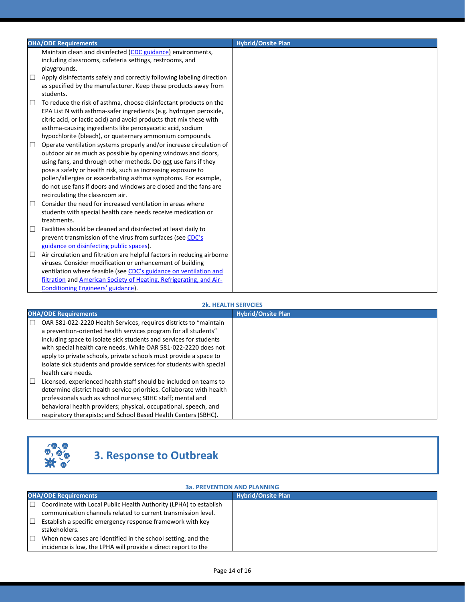|        | <b>OHA/ODE Requirements</b>                                                                    | <b>Hybrid/Onsite Plan</b> |
|--------|------------------------------------------------------------------------------------------------|---------------------------|
|        | Maintain clean and disinfected (CDC guidance) environments,                                    |                           |
|        | including classrooms, cafeteria settings, restrooms, and                                       |                           |
|        | playgrounds.                                                                                   |                           |
| □      | Apply disinfectants safely and correctly following labeling direction                          |                           |
|        | as specified by the manufacturer. Keep these products away from                                |                           |
|        | students.                                                                                      |                           |
| □      | To reduce the risk of asthma, choose disinfectant products on the                              |                           |
|        | EPA List N with asthma-safer ingredients (e.g. hydrogen peroxide,                              |                           |
|        | citric acid, or lactic acid) and avoid products that mix these with                            |                           |
|        | asthma-causing ingredients like peroxyacetic acid, sodium                                      |                           |
|        | hypochlorite (bleach), or quaternary ammonium compounds.                                       |                           |
| $\Box$ | Operate ventilation systems properly and/or increase circulation of                            |                           |
|        | outdoor air as much as possible by opening windows and doors,                                  |                           |
|        | using fans, and through other methods. Do not use fans if they                                 |                           |
|        | pose a safety or health risk, such as increasing exposure to                                   |                           |
|        | pollen/allergies or exacerbating asthma symptoms. For example,                                 |                           |
|        | do not use fans if doors and windows are closed and the fans are                               |                           |
|        | recirculating the classroom air.<br>Consider the need for increased ventilation in areas where |                           |
| □      | students with special health care needs receive medication or                                  |                           |
|        | treatments.                                                                                    |                           |
| $\Box$ | Facilities should be cleaned and disinfected at least daily to                                 |                           |
|        | prevent transmission of the virus from surfaces (see CDC's                                     |                           |
|        | guidance on disinfecting public spaces).                                                       |                           |
| □      | Air circulation and filtration are helpful factors in reducing airborne                        |                           |
|        | viruses. Consider modification or enhancement of building                                      |                           |
|        | ventilation where feasible (see CDC's guidance on ventilation and                              |                           |
|        | filtration and American Society of Heating, Refrigerating, and Air-                            |                           |
|        | Conditioning Engineers' guidance).                                                             |                           |

#### **2k. HEALTH SERVCIES**

| <b>OHA/ODE Requirements</b>                                                                                                                                                                                                                                                                                                                                                                                                                      | <b>Hybrid/Onsite Plan</b> |
|--------------------------------------------------------------------------------------------------------------------------------------------------------------------------------------------------------------------------------------------------------------------------------------------------------------------------------------------------------------------------------------------------------------------------------------------------|---------------------------|
| OAR 581-022-2220 Health Services, requires districts to "maintain<br>a prevention-oriented health services program for all students"<br>including space to isolate sick students and services for students<br>with special health care needs. While OAR 581-022-2220 does not<br>apply to private schools, private schools must provide a space to<br>isolate sick students and provide services for students with special<br>health care needs. |                           |
| Licensed, experienced health staff should be included on teams to<br>$\mathbb{R}^n$<br>determine district health service priorities. Collaborate with health<br>professionals such as school nurses; SBHC staff; mental and<br>behavioral health providers; physical, occupational, speech, and<br>respiratory therapists; and School Based Health Centers (SBHC).                                                                               |                           |



# **3. Response to Outbreak**

#### **3a. PREVENTION AND PLANNING**

|        | <b>OHA/ODE Requirements</b>                                       | <b>Hybrid/Onsite Plan</b> |
|--------|-------------------------------------------------------------------|---------------------------|
|        | Coordinate with Local Public Health Authority (LPHA) to establish |                           |
|        | communication channels related to current transmission level.     |                           |
|        | Establish a specific emergency response framework with key        |                           |
|        | stakeholders.                                                     |                           |
| $\Box$ | When new cases are identified in the school setting, and the      |                           |
|        | incidence is low, the LPHA will provide a direct report to the    |                           |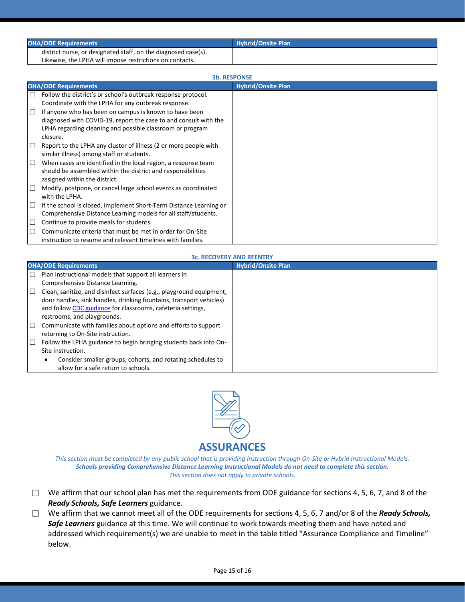| <b>OHA/ODE Requirements</b>                                    | <b>Hybrid/Onsite Plan</b> |
|----------------------------------------------------------------|---------------------------|
| district nurse, or designated staff, on the diagnosed case(s). |                           |
| Likewise, the LPHA will impose restrictions on contacts.       |                           |

| <b>3b. RESPONSE</b> |                                                                    |                           |
|---------------------|--------------------------------------------------------------------|---------------------------|
|                     | <b>OHA/ODE Requirements</b>                                        | <b>Hybrid/Onsite Plan</b> |
| $\Box$              | Follow the district's or school's outbreak response protocol.      |                           |
|                     | Coordinate with the LPHA for any outbreak response.                |                           |
| $\Box$              | If anyone who has been on campus is known to have been             |                           |
|                     | diagnosed with COVID-19, report the case to and consult with the   |                           |
|                     | LPHA regarding cleaning and possible classroom or program          |                           |
|                     | closure.                                                           |                           |
| $\Box$              | Report to the LPHA any cluster of illness (2 or more people with   |                           |
|                     | similar illness) among staff or students.                          |                           |
| $\Box$              | When cases are identified in the local region, a response team     |                           |
|                     | should be assembled within the district and responsibilities       |                           |
|                     | assigned within the district.                                      |                           |
|                     | Modify, postpone, or cancel large school events as coordinated     |                           |
|                     | with the LPHA.                                                     |                           |
| $\Box$              | If the school is closed, implement Short-Term Distance Learning or |                           |
|                     | Comprehensive Distance Learning models for all staff/students.     |                           |
| ⊔                   | Continue to provide meals for students.                            |                           |
| П                   | Communicate criteria that must be met in order for On-Site         |                           |
|                     | instruction to resume and relevant timelines with families.        |                           |

#### **3c. RECOVERY AND REENTRY**

|        | <b>OHA/ODE Requirements</b>                                          | <b>Hybrid/Onsite Plan</b> |
|--------|----------------------------------------------------------------------|---------------------------|
| П      | Plan instructional models that support all learners in               |                           |
|        | Comprehensive Distance Learning.                                     |                           |
| $\Box$ | Clean, sanitize, and disinfect surfaces (e.g., playground equipment, |                           |
|        | door handles, sink handles, drinking fountains, transport vehicles)  |                           |
|        | and follow CDC guidance for classrooms, cafeteria settings,          |                           |
|        | restrooms, and playgrounds.                                          |                           |
| □      | Communicate with families about options and efforts to support       |                           |
|        | returning to On-Site instruction.                                    |                           |
| $\Box$ | Follow the LPHA guidance to begin bringing students back into On-    |                           |
|        | Site instruction.                                                    |                           |
|        | Consider smaller groups, cohorts, and rotating schedules to          |                           |
|        | allow for a safe return to schools.                                  |                           |



### **ASSURANCES**

*This section must be completed by any public school that is providing instruction through On-Site or Hybrid Instructional Models. Schools providing Comprehensive Distance Learning Instructional Models do not need to complete this section. This section does not apply to private schools.*

- ☐ We affirm that our school plan has met the requirements from ODE guidance for sections 4, 5, 6, 7, and 8 of the *Ready Schools, Safe Learners* guidance.
- ☐ We affirm that we cannot meet all of the ODE requirements for sections 4, 5, 6, 7 and/or 8 of the *Ready Schools, Safe Learners* guidance at this time. We will continue to work towards meeting them and have noted and addressed which requirement(s) we are unable to meet in the table titled "Assurance Compliance and Timeline" below.